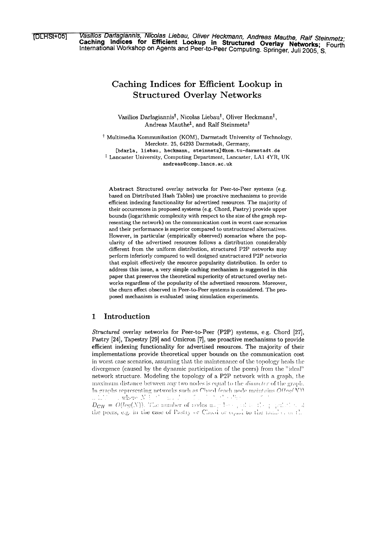# **Caching Indices for Efficient Lookup in Structured Overlay Networks**

Vasilios Darlagiannis<sup>†</sup>, Nicolas Liebau<sup>†</sup>, Oliver Heckmann<sup>†</sup>, Andreas Mauthe<sup>t</sup>, and Ralf Steinmetz<sup>†</sup>

<sup>†</sup> Multimedia Kommunikation (KOM), Darmstadt University of Technology, Merckstr. 25, 64293 Darmstadt, Germany, [bdarla, liebau, heckmann, steinmetz]@kom.tu-darmstadt.de

Lancaster University, Computing Department, Lancaster, LA1 4YR, UK **andreas(0comp.lancs.ac.uk** 

Abstract Structured overlay networks for Peer-to-Peer systems (e.g. based on Distributed Hash Tables) use proactive mechanisms to provide efficient indexing functionality for advertised resources. The majority of their occurrences in proposed systems (e.g. Chord, Pastry) provide upper bounds (logarithmic complexity with respect to the size of the graph representing the network) on the communication cost in worst case scenarios and their performance is Superior compared to unstructured alternatives. However, in particular (empirically observed) scenarios where the popularity of the advertised resources follows a distribution considerably different from the uniform distribution, structured P2P networks may perform inferiorly compared to well designed unstructured P2P networks that exploit effectively the resource popularity distribution. In order to address this issue, a very simple caching mechanism is suggested in this paper that preserves the theoretical superiority of structured overlay networks regardless of the popularity of the advertised resources. Moreover, the churn effect observed in Peer-to-Peer systems is considered. The proposed mechanism is evaluated using simulation experiments.

# **1 Introduction**

*Structured* overlay networks for Peer-to-Peer (P2P) systems, e.g. Chord [27], Pastry [24], Tapestry [29] and Omicron [7], use proactive mechanisms to provide efficient indexing functionality for advertised resources. The majority of their implementations provide theoretical upper bounds on the communication cost in worst case scenarios, assuming that the maintenance of the topology heals the divergence (caused by the dynamic participation of the pcers) from the "ideal" network structure. Modeling the topology of a P2P network with a graph, the inaximum distance between any two nodes is equal to the *diameter* of the graph. 111 ~r;ipI1? rrp~~?c~it ilig ~i~t~vn~.lc? s11r1i aq rIirv,l (P~I(,\I I>O(IV ~~i;iil~t;\i~l? fl(!y( . ., >,.I ,,>;.,> \\-: ,\* . ' . <, , **.I:.** . ,. . .. . . ,.,. . ...  $D_{CH} = O(\log(N))$ . The number of nodes note that point is the population of

the peers, e.g. in the case of Pastry or Chord or equal to the manner or the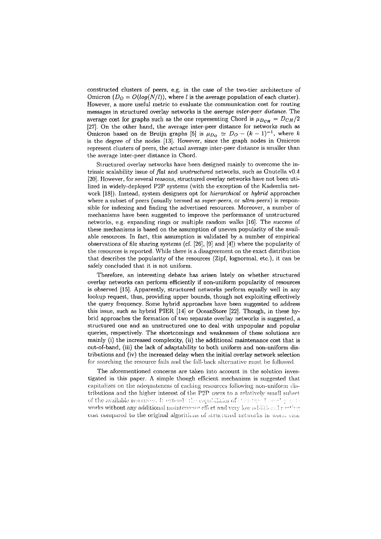constructed clusters of peers, e.g. in the case of the two-tier architecture of Omicron  $(D<sub>O</sub> = O(log(N/l))$ , where *l* is the average population of each cluster). However, a more useful metric to evaluate the communication cost for routing messages in structured overlay networks is the *average inter-peer distance.* The average cost for graphs such as the one representing Chord is  $\mu_{D_{CH}} = D_{CH}/2$ **[27].** On the other hand, the average inter-peer distance for networks such as Omicron based on de Bruijn graphs [5] is  $\mu_{D_0} \simeq D_0 - (k-1)^{-1}$ , where k is the degree of the nodes [13]. However, since the graph nodes in Omicron represent clusters of peers, the actual average inter-peer distance is smaller than the average inter-peer distance in Chord.

Structured overlay networks have been designed mainly to overcome the intrinsic scalability issue of *flat* and *unstructured* networks, such as Gnutella v0.4 [20]. However, for several reasons, structured overlay networks have not been utilized in widely-deployed P2P systems (with the exception of the Kademlia network [18]). Instead, system designers opt for *hierarchical* or *hybrid* approaches where a subset of peers (usually termed *ns super-peers,* or *ultra-peers)* is responsible for indexing and finding the advertised resources. Moreover, a number of mechanisms have been suggested to improve the performance of unstructured networks, e.g. expanding rings or multiple random walks [16]. The success of these mechanisms is based on the assumption of uneven popularity of the available resources. In fact, this assumption is validated by a number of empirical observations of file sharing systems (cf. [26], [9] and [4]) where the popularity of the resources is reported. While there is a disagreement on the exact distribution that describes the popularity of the resources (Zipf, lognormal, etc.), it can be safely concluded that it is not uniform.

Therefore, an interesting debate has arisen lately on whether structured overlay networks can perform efficiently if non-uniform popularity of resources is observed [15]. Apparently, structured networks perform equally well in any lookup request, thus, providing upper bounds, though not exploiting effectively the query frequency. Some hybrid approaches have been suggested to address this issue, such as hybrid PIER (141 or OceanStore [22]. Though, in these hybrid approaches the formation of two separate overlay networks is suggested, a structured one and an unstructured one to deal with unpopular and popular queries, respectively. The shortcomings and weaknesses of these solutions are mainly (i) the increased complexity, (ii) the additional maintenance cost that is out-of-band, (iii) the lack of adaptability to both uniform and non-uniform distributions and (iv) the increased delay when the initial overlay network selection for searching the resource fails and the fall-back alternative must be followed.

The aforementioned concerns are taken into account in the solution investigated in this paper. A simple though efficient mechanism is suggested that capitalizes on the adequateness of caching resources following non-uniform distributions and the higher interest of the P2P users to a relatively small subset of the available resources. It extends the capabilities of structure leavel you to works without any additional maintenance effort and very low additional restring cost compared to the original algoritims of structured networks in worst case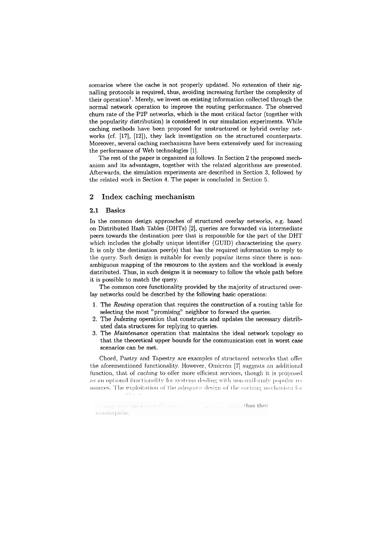scenarios where the cache is not properly updated. No extension of their signalling protocols is required, thus, avoiding increasing further the complexity of their operation<sup>1</sup>. Merely, we invest on existing information collected through the normal network operation to improve the routing performance. The observed churn rate of the **P2P** networks, which is the most critical factor (together with the popularity distribution) is considered in our simulation experiments. While caching methods have been proposed for unstructured or hybrid overlay networks (cf. **[17], [12]),** they lack investigation on the structured counterparts. Moreover, several caching mechanisms have been extensively used for increasing the performance of Web technologies [I].

The rest of the paper is organized as follows. In Section **2** the proposed mechanism and its advantages, together with the related algorithms are presented. Afterwards, the simulation experiments are described in Section **3,** followed by the related work in Section 4. The paper is concluded in Section 5.

#### **2 Index caching mechanism**

## 2.1 Basics

In the common design approaches of structured overlay networks, e.g. based on Distributed Hash Tables (DHTs) [2], queries are forwarded via intermediate peers towards the destination peer that is responsible for the part of the DHT which includes the globally unique identifier (GUID) characterizing the query. It is only the destination peer(s) that has the required information to reply to the query. Such design is suitable for evenly popular items since there is nonambiguous mapping of the resources to the system and the workload is evenly distributed. Thus, in such designs it is necessary to follow the whole path before it is possible to match the query.

The common core functionality provided by the majority of structured overlay networks could be described by the following basic operations:

- 1. The Routing operation that requires the construction of a routing table for selecting the most "promising" neighbor to forward the queries.
- 2. The Indexing operation that constructs and updates the necessary distributed data structures for replying to queries.
- 3. The Maintenance operation that maintains the ideal network topology so that the theoretical upper bounds for the communication cost in worst case scenarios can be met.

Chord, Pastry and Tapestry are examples of structured networks that offer the aforementioned functionality. However, Omicron [7] suggests an additional function, that of *caching* to offer more efficient services, though it is proposed as an optional functionality for systems dealing with non-uniformly popular resources. The exploitation of the adequate design of the caching mechanism for  $\frac{1}{2}$ .

and maniformal networks and a  $\sim_{L^2(\mathbb{R}^n-1)}$  and then their counterparts.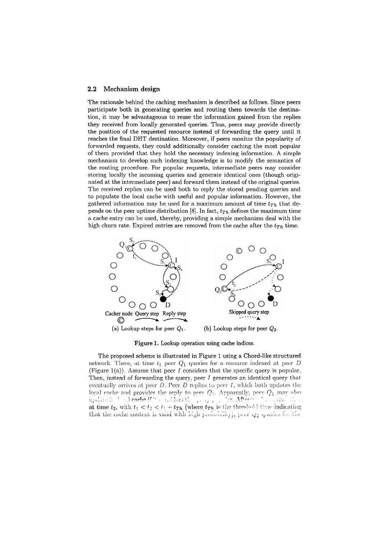## **2.2** Mechanism design

The rationale behind the caching mechanism is described as follows. Since peers participate both in generating queries and routing them towards the destination, it may be advantageous to reuse the information gained from the replies they received from locally generated queries. Thus, peers may provide directly the position of the requested resource instead of forwarding the query until it reaches the final DHT destination. Moreover, if peers monitor the popularity of forwarded requests, they could additionally consider caching the most popular of them provided that they hold the necessary indexing information. A simple mechanism to develop such indexing knowledge is to modify the semantics of the routing procedure. For popular requests, intermediate peers may consider storing locally the incoming queries and generate identical ones (though originated at the intermediate peer) and forward them instead of the original queries. The received replies can be used both to reply the stored pending queries and to populate the local cache with useful and popular information. However, the gathered information may be used for a maximum amount of time  $t_{Th}$  that depends on the peer uptime distribution [8]. In fact,  $t_{Th}$  defines the maximum time a cache entry can be used, thereby, providing a simple mechanism deal with the high churn rate. Expired entries are removed from the cache after the  $t_{Th}$  time.



**Figure** 1. Lookup operation using cache indices.

The proposed scheme is illustrated in Figure 1 using a Chord-like structured network. There, at time  $t_1$  peer  $Q_1$  queries for a resource indexed at peer *D* (Figure 1(a)). Assume that peer I considers that the specific query is popular. Then, instead of forwarding the query, peer  $I$  generates an identical query that eventually arrives at peer  $D$ . Peer  $D$  replies to peer  $I$ , which both updates the local cache and provides the reply to peer  $Q_1$ . Apparently, peer  $\overline{Q_1}$  may also. , ., . , !,,. tri ,..... - I;;.'..,:.' ,, Ir2f!!0:~', :...,,,;,>:: ,. .; , , , . . . .,, . , , . . . , . . at time  $t_2$ , with  $t_1 < t_2 < t_1 + t_{Th}$  (where  $t_{Th}$  is the threshold time indicating that the cache content is valid with high probability), poor  $Q_2$  queries for the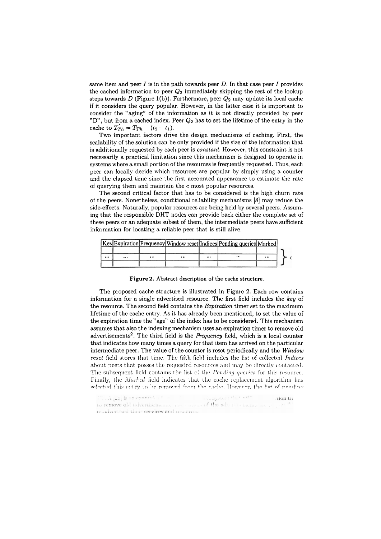same item and peer  $I$  is in the path towards peer  $D$ . In that case peer  $I$  provides the cached information to peer  $Q_2$  immediately skipping the rest of the lookup steps towards D (Figure 1(b)). Furthermore, peer  $Q_2$  may update its local cache if it considers the query popular. However, in the latter case it is important to consider the "aging" of the information as it is not directly provided by peer "D", but from a cached index. Peer  $Q_2$  has to set the lifetime of the entry in the cache to  $T_{Th} = T_{Th} - (t_2 - t_1)$ .

Two important factors drive the design mechanisms of caching. First, the scalability of the solution can be only provided if the size of the information that is additionally requested by each peer is constant. However, this constraint is not necessarily a practical limitation since this mechanism is designed to operate in systems where a small portion of the resources is frequently requested. Thus, each peer can locally decide which resources are popular by simply using a counter and the elapsed time since the first accounted appearance to estimate the rate of querying them and maintain the  $c$  most popular resources.

The second critical factor that has to be considered is the high churn rate of the peers. Nonetheless, conditional reliability mechanisms [8] may reduce the side-effects. Naturally, popular resources are being held by several peers. Assuming that the responsible DHT nodes can provide back either the complete set of these peers or an adequate subset of them, the intermediate peers have sufficient information for locating a reliable peer that is still alive.

|      |          |      | Key Expiration Frequency Window reset   Indices   Pending queries   Marked |  |
|------|----------|------|----------------------------------------------------------------------------|--|
|      |          |      |                                                                            |  |
| <br> | $\cdots$ | <br> |                                                                            |  |
|      |          |      |                                                                            |  |

**Figure** 2. Abstract description of the cache structure.

The proposed cache structure is illustrated in Figure 2. Each row contains information for a single advertised resource. The first field includes the key of the resource. The second field contains the Expiration timer set to the maximum lifetime of the cache entry. As it has already been mentioned, to set the value of the expiration time the "age" of the index has to be considered. This mechanism assumes that also the indexing mechanism uses an expiration timer to remove old advertisements<sup>2</sup>. The third field is the Frequency field, which is a local counter that indicates how many times a query for that item has arrived on the particular intermediate peer. The value of the counter is reset periodically and the Window *reset* field stores that time. The fifth field includes the list of collected *Indices* about peers that posses the requested resources and may be directly contacted. The subsequent field contains the list of the *Pending queries* for this resource. Finally, the *Marked* field indicates that the cache replacement algorithm has selected this cutry to be removed from the cache. However, the list of pending

| $\left\  \ldots \right\ $ [25] is an example a finite                               | mondering education of the American | <b>LIOH LIL</b> |
|-------------------------------------------------------------------------------------|-------------------------------------|-----------------|
| to remove old advertisements, ray success of the advertisements on $\mathbb{R}^n$ . |                                     |                 |
| re-advertised their <b>services an</b> d resources.                                 |                                     |                 |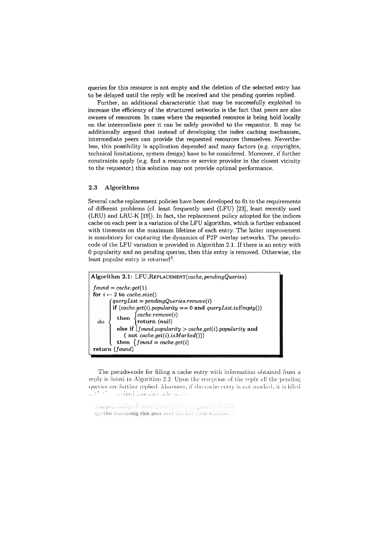queries for this resource is not empty and the deletion of the selected entry has to be delayed until the reply will be received and the pending queries replied.

Further, an additional characteristic that may be successfully exploited to increase the efficiency of the structured networks is the fact that peers are also owners of resources. In cases where the requested resource is being hold locally on the intermediate peer it can be safely provided to the requestor. It may be additionally argued that instead of developing the index caching mechanism, intermediate peers can provide the requested resources themselves. Nevertheless, this possibility is application depended and many factors (e.g. copyrights, technical limitations, system design) have to be considered. Moreover, if further constraints apply (e.g. find a resource or service provider in the closest vicinity to the requestor) this solution may not provide optimal performance.

## **2.3 Algorithms**

Several cache replacement policies have been developed to fit to the requirements of different problems (cf. least frequently used (LFU) **[23],** least recently used (LRU) and LRU-K [19]). In fact, the replacement policy adopted for the indices cache on each peer is a variation of the LFU algorithm, which is further enhanced with timeouts on the maximum lifetime of each entry. The latter improvement is mandatory for capturing the dynamics of P2P overlay networks. The pseudocode of the LFU variation is provided in Algorithm 2.1. If there is an entry with 0 popularity and no pending queries, then this entry is removed. Otherwise, the least popular entry is returned<sup>3</sup>.

```
Algorithm 2.1: LFU-REPLACEMENT(cache, pendingQueries)found = cache.get(1)for i \leftarrow 2 to cache.size()
{\mathcal{L}} query List = pendingQueries.remove(i)if (cache.get(i).popularity == 0 \text{ and } queryList.isEmpty())\begin{bmatrix} \text{cache}.\text{remove}(i) \\ \text{time} \end{bmatrix}do
           return (null) 
  else if \check{\mathbf{f}} found.popularity > cache.get(i).popularity and
     ( not cache.get(i).isMarked())) 
  then \{found = cache.get(i)return (found)
```
The pseudo-code for filling a cache entry with information obtained from a reply is listed in Algorithm 2.2. Upon the reception of the reply all the pending queries are further replied. Moreover, if the cache entry is not marked, it is filled Ine pse<br>.eply is list<br>*queries* are<br>...  $\dim L$  ; and indexing information

**m** 

The popularity of an enery on a particular poet is calculate queries traversing this peer over the last time window.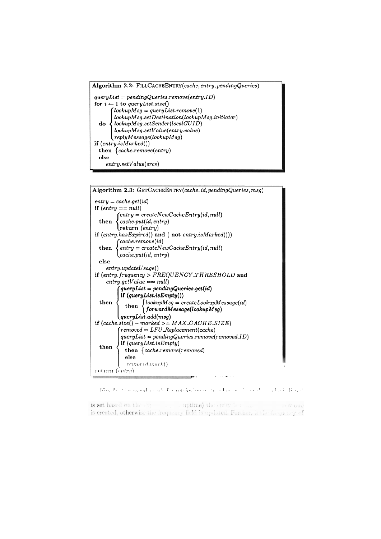



Finally the monday and the reprinting provided activity and completely the CI and

is set based on the error and the unit of the entry is a second the wone is created, otherwise the frequency field is updated. Further, it the family of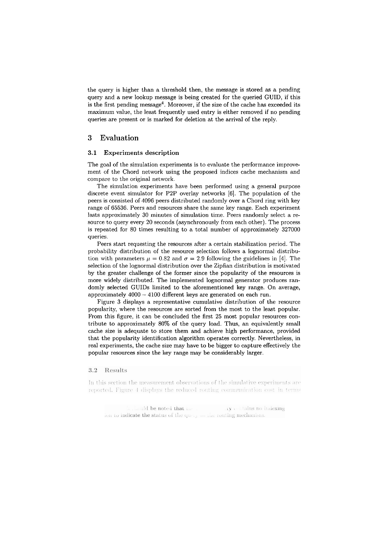the query is higher than a threshold then, the message is stored as a pending query and a new lookup message is being created for the queried GUID, if this is the first pending message<sup>4</sup>. Moreover, if the size of the cache has exceeded its maximum value, the least frequently used entry is either removed if no pending queries are present or is marked for deletion at the arrival of the reply.

## **3 Evaluation**

#### 3.1 Experiments description

The goal of the simulation experiments is to evaluate the performance improvement of the Chord network using the proposed indices cache mechanism and compare to the original network.

The simulation experiments have been performed using a general purpose discrete event simulator for P2P overlay networks [G]. The population of the peers is consisted of 4096 peers distributed randomly over a Cliord ring with key range of 65536. Peers and resources share the same key range. Each experiment lasts approximately 30 minutes of simulation time. Peers randomly select a resource to query every 20 seconds (asynchronously from each other). The process is repeated for 80 times resulting to a total number of approximately 327000 queries.

Peers start requesting the resources after a certain stabilization period. The probability distribution of the resource selection follows a lognormal distribution with parameters  $\mu = 0.82$  and  $\sigma = 2.9$  following the guidelines in [4]. The selection of the lognormal distribution over the Zipfian distribution is motivated by the greater challenge of the former since the popularity of the resources is more widely distributed. The implemented lognormal generator produces randomly selected GUIDs limited to the aforementioned key range. On average, approximately 4000 - 4100 different keys are generated on each run.

Figure 3 displays a representative cumulative distribution of the resource popularity, where the resources are sorted from the most to the least popular. From this figure, it can be concluded the first 25 most popular resources contribute to approximately 80% of the query load. Thus, an equivalently small cache size is adequate to store them and achieve high performance, provided that the popularity identification algorithm operates correctly. Nevertheless, in real experiments, the cache size may have to be bigger to capture effectively the popular resources since the key range may be considerably larger.

#### 3.2 Results

In this section the measurement observations of the simulative experiments are reported. Figure 4 displays the reduced routing communication cost in terms

A heald be noted that the same same ry contains no indexing ion to indicate the status of the query social routing mechanism.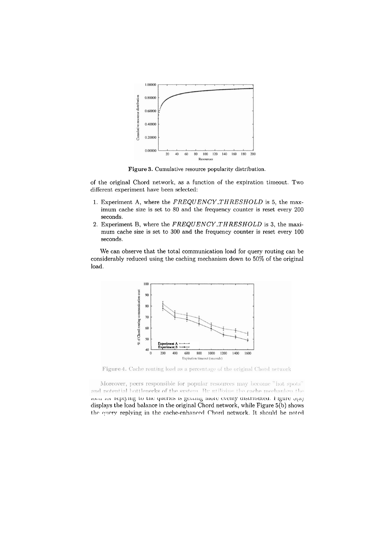

Figure 3. Cumulative resource popularity distribution.

of the original Chord network, as a function of the expiration timeout. Two different experiment have been selected:

- 1. Experiment A, where the FREQUENCY\_THRESHOLD is 5, the maximum cache size is set to 80 and the frequency counter is reset every 200 seconds.
- 2. Experiment B, where the FREQUENCY\_THRESHOLD is 3, the maximum cache size is set to 300 and the frequency counter is reset every 100 seconds.

We can observe that the total communication load for query routing can be considerably reduced using the caching mechanism down to 50% of the original load.



Figure 4. Cache routing load as a percentage of the original Chord network

Moreover, peers responsible for popular resources may become "hot spots" and potential bottlenecks of the system. By utilizing the cache mechanism the road ior replying to the queries is getting more evenly distributed. Figure 5(a) displays the load balance in the original Chord network, while Figure 5(b) shows the query replying in the cache-enhanced Chord network. It should be noted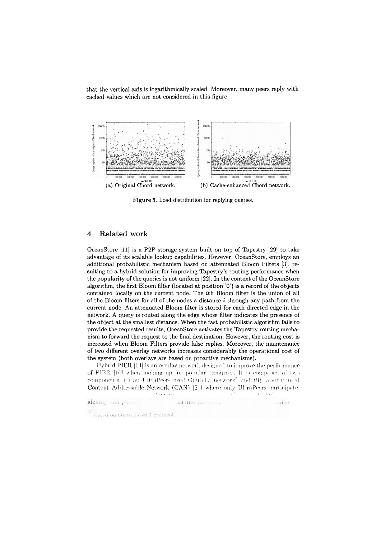that the vertical axis is logarithmically scaled. Moreover, many peers reply with cached values which are not considered in this figure.



**Figure** 5. Load distribution for replying queries.

## **4** Related **work**

OceanStore [ll] is a P2P storage system built 011 top of Tapestry **[29]** to take advantage of its scalahle lookup capabilities. However, OceanStore, employs an additional probabilistic mechanism based on attenuated Bloom Filters [3], resulting to a hybrid solution for improving Tapestry's routing performance when the popularity of the queries is not uniform [22]. In the context of the OceanStore algorithm, the first Bloom filter (located at position '0') is a record of the objects contained locally on the current node. The ith Bloom filter is the union of all of the Bloom filters for all of the nodes a distance  $i$  through any path from the current node. **An** attenuated Bloom filter is stored for each directed edge in the network. **A** query is routed along the edge whose filter indicates the presence of the object at the smallest distance. When the fast probabilistic algorithm fails to provide the requested results, OceanStore activates the Tapestry routing mechanism to forward the request to the final destination. However, the routing cost is increased when Bloom Filters provide false replies. Moreover, the maintenance of two different overlay networks increases considerably the operational cost of the system (both overlays are based on proactive mechanisms).

Hybrid PIER [14] is an overlay network designed to improve the performance of PIER [10] when looking up for popular resources. It is composed of two components. (i) an UltraPeer-based Cuutella network<sup>5</sup> and (ii), a structured Content Addressable Network (CAN) [21] where only UltraPeers participate. l. and particles are the contract of the contract of the contract of the contract of the contract of the contract of the contract of the contract of the contract of the contract of the contract of the contract of the contr

identity and pul as into the large . al c

Dased on Gnutella v0.6 protocol.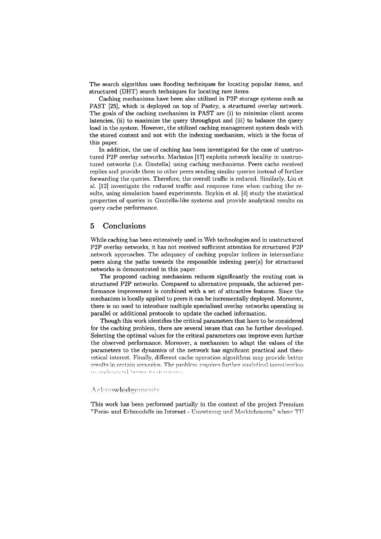The search algorithm uses flooding techniques for locating popular items, and structured (DHT) search techniques for locating rare items.

Caching mechanisms have been also utilized in P2P storage systems such as PAST [25], which is deployed on top of Pastry, a structured overlay network. The goals of the caching mechanism in PAST are (i) to minimize client access latencies, (ii) to maximize the query throughput and (iii) to balance the query load in the system. However, the utilized caching management system deals with the stored content and not with the indexing mechanism, which is the focus of this paper.

In addition, the use of caching has been investigated for the case of unstructured P2P overlay networks. Markatos [17] exploits network locality in unstructured networks (i.e. Gnutella) using caching mechanisms. Peers cache received replies and provide them to other peers sending similar queries instead of further forwarding the queries. Therefore, the overall traffic is reduced. Similarly, Liu et al.  $[12]$  investigate the reduced traffic and response time when caching the results, using simulation based experiments. Boykin et al. [4] study the statistical properties of queries in Gnutella-like systems and provide analytical results on query cache performance.

## 5 Conclusions

While caching has been extensively used in Web technologies and in unstructured P2P overlay networks, it has not received sufficient attention for structured P2P network approaches. The adequacy of caching popular indices in intermediate peers along the paths towards the responsible indexing peer(s) for structured networks is demonstrated in this paper.

The proposed caching mechanism reduces significantly the routing cost in structured P2P networks. Compared to alternative proposals, the achieved performance improvement is combined with a set of attractive features. Since the mechanism is locally applied to peers it can be incrementally deployed. Moreover, there is no need to introduce multiple specialized overlay networks operating in parallel or additional protocols to update the cached information.

Though this work identifies the critical parameters that have to be considered for the caching problem, there are several issues that can be further developed. Selecting the optimal values for the critical parameters can improve even further the observed performance. Moreover, a mechanism to adapt the values of the parameters to the dynamics of the network has significant practical and theoretical interest. Finally, different cache operation algorithms may provide better results in certain scenarios. The problem requires further analytical investigation In understand botter its dynamics,

#### Acknowledgements

This work has been performed partially in the context of the project Premium "Preis- und Erlsmodelle im Internet - Umsetzung und Marktchancen" where TU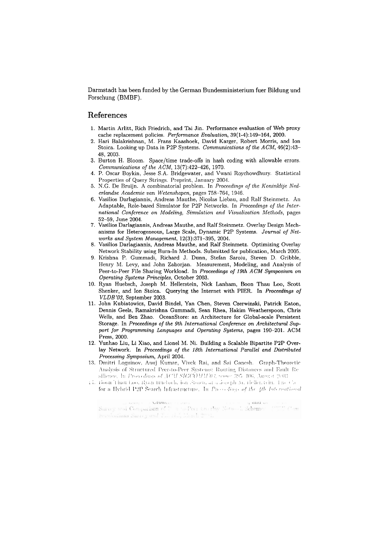Darmstadt has been funded by the German Bundesministerium fuer Bildung und Forschung (BMBF).

## References

- 1. Martin Arlitt, Rich F'riedrich, and Tai Jin. Performance evaluation of Web proxy cache replacement policies. *Performance Evaluation,* 39(1-4):149-164, 2000.
- 2. Hari Balakrishnan, M. Frans Kaashoek, David Karger, Robert Morris, and Ion Stoica. Looking up Data in P2P Systems. *Communications of the ACM,* 46(2):43- 48, 2003.
- 3. Burton H. Bloom. Space/time trade-offs in hash coding with allowable errors. *Communicatiom of the ACM,* 13(7):422-426, 1970.
- 4. P. Oscar Boykin, Jesse S.A. Bridgewater, and Vwani Roychowdhury. Statistical Properties of Query Strings. Preprint, January 2004.
- 5. N.G. De Bruijn. A combinatorial problem. In *Proceedings of the Koninklije Nederlandse Academie van Wetenshapen,* pages 758-764, 1946.
- 6. Vasilios Darlagiannis, Andreas Mauthe, Nicolas Liebau, snd Ralf Steinmetz. An Adaptable, Role-based Simulator for P2P Networks. In *Pmceedings* of *the International Conference on Modeling, Simulation und Visualization Methocis,* pages 52-59, June 2004.
- 7. Vasilios Darlagiannis, Andreas Mauthe, and Ralf Steinmetz. Overlay Design Mechanisms for Heterogeneous, Large Scale, Dynamic P2P Systems. *Journal of Networh und System Management,* 12(3):371-395, 2004.
- Vasilios Darlagiannis, Andreas Mauthe, and Ralf Steinmetz. Optimizing Overlay Network Stability using Burn-In Methods. Submitted for publication, March 2005.
- 9. Krishna P. Gummadi, Richard J. Dunn, Stefan Saroiu, Steven D. Gribble, Henry M. Levy, and John Zahorjan. Measurement, Modeling, and Analysis of Peer-to-Peer File Sharing Workload. In *Proceedings of 19th ACM Symposium on Operating Systems Principles,* October 2003.
- 10. Ryan Huebsch, Joseph M. Hellerstein, Nick Lanham, Boon Thau Loo, Scott Shenker, and Ion Stoica. Querying the Internet with PIER. In *Proceedings of VLDB'OS,* September 2003.
- 11. John Kubiatowicz, David Bindel, Yan Chen, Steven Czerwinski, Patrick Eaton, Dennis Geels, Ramakrishna Gummadi, Sean Rhea, Hakim Weatherspoon, Chris Wells, and Ben Zhao. OceanStore: an Architecture for Global-scale Persistent Storage. In *Proceedings of the 9th International Conference on Architectuml Sup*port for Programming Languages and Operating Systems, pages 190–201. ACM Press, 2000.
- 12. Yunhao Liu, Li Xiao, and Lionel M. Ni. Building a Scalable Bipartite P2P Overlay Network. In *Proceedings of the 18th International Parallel and Distributed Processing Symposium,* April 2004.
- 13. Dmitri Loguinov, Anuj Kumar, Vivek Rai, and Sai Ganesh. Graph-Theoretic Analysis of Structured Peer-to-Peer Systems: Routing Distances and Fault Re  $\frac{1}{2}$  silicace. In Proceedings of  $\frac{1}{2}$ (VI  $SIGCONNI0$ ), second 205-406, Anona 2003
- $i$  L. Boon Than Loo, Ryan Huebsch, fon Stoich, at a Joseph M. (lefter-tein, The Ca for a Hybrid P2P Search Infrastructure. In Pascesdings of the 4th International

**CONCERT CONCERT** 

Survey and Comparison of the co-Peer Overlay Natural, Schemer  $t$  recent  $\ell^{\alpha}$  and munications Survey and The stage starts 2004.

 $\sim$  and  $\sim$